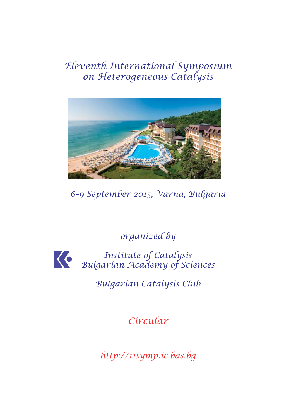# *Eleventh International Symposium on Heterogeneous Catalysis*



*6–9 September 2015, Varna, Bulgaria*

*organized by*

*Institute of Catalysis Bulgarian Academy of Sciences*

*Bulgarian Catalysis Club*

*Circular*

*http://11symp.ic.bas.bg*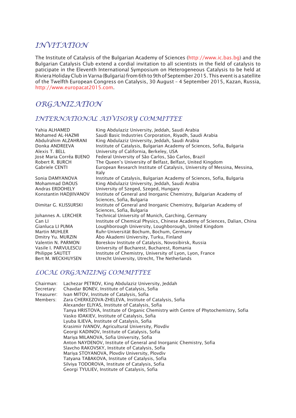## *INVITATION*

The Institute of Catalysis of the Bulgarian Academy of Sciences (http://www.ic.bas.bg) and the Bulgarian Catalysis Club extend a cordial invitation to all scientists in the field of catalysis to paticipate in the Eleventh International Symposium on Heterogeneous Catalysis to be held at Riviera Holiday Club in Varna (Bulgaria) from 6th to 9th of September 2015. This event is a satellite of the Twelfth European Congress on Catalysis, 30 August – 4 September 2015, Kazan, Russia, http://www.europacat2015.com.

# *ORGANIZATION*

#### *INTERNATIONAL ADVISORY COMMITTEE*

| Yahia ALHAMED           | King Abdulaziz University, Jeddah, Saudi Arabia                                                 |
|-------------------------|-------------------------------------------------------------------------------------------------|
| Mohamed AL-HAZMI        | Saudi Basic Industries Corporation, Riyadh, Saudi Arabia                                        |
| Abdulrahim ALZAHRANI    | King Abdulaziz University, Jeddah, Saudi Arabia                                                 |
| Donka ANDREEVA          | Institute of Catalysis, Bulgarian Academy of Sciences, Sofia, Bulgaria                          |
| Alexis T. BELL          | University of California, Berkeley, USA                                                         |
| José Maria Corrêa BUENO | Federal University of São Carlos, São Carlos, Brazil                                            |
| Robert R. BURCH         | The Queen's University of Belfast, Belfast, United Kingdom                                      |
| Gabriele CENTI          | European Research Institute of Catalysis, University of Messina, Messina,<br>Italy              |
| Sonia DAMYANOVA         | Institute of Catalysis, Bulgarian Academy of Sciences, Sofia, Bulgaria                          |
| Mohammad DAOUS          | King Abdulaziz University, Jeddah, Saudi Arabia                                                 |
| Andras ERDOHELY         | University of Szeged, Szeged, Hungary                                                           |
| Konstantin HADJIIVANOV  | Institute of General and Inorganic Chemistry, Bulgarian Academy of<br>Sciences, Sofia, Bulgaria |
| Dimitar G. KLISSURSKI   | Institute of General and Inorganic Chemistry, Bulgarian Academy of<br>Sciences, Sofia, Bulgaria |
| Johannes A. LERCHER     | Technical University of Munich, Garching, Germany                                               |
| Can LI                  | Institute of Chemical Physics, Chinese Academy of Sciences, Dalian, China                       |
| Gianluca LI PUMA        | Loughborough University, Loughborough, United Kingdom                                           |
| <b>Martin MUHLER</b>    | Ruhr-Universität Bochum, Bochum, Germany                                                        |
| Dmitry Yu. MURZIN       | Åbo Akademi University, Turku, Finland                                                          |
| Valentin N. PARMON      | Boreskov Institute of Catalysis, Novosibirsk, Russia                                            |
| Vasile I. PARVULESCU    | University of Bucharest, Bucharest, Romania                                                     |
| Philippe SAUTET         | Institute of Chemistry, University of Lyon, Lyon, France                                        |
| Bert M. WECKHUYSEN      | Utrecht University, Utrecht, The Netherlands                                                    |

#### *LOCAL ORGANIZING COMMITTEE*

| Chairman:  | Lachezar PETROV, King Abdulaziz University, Jeddah                                  |  |  |  |  |
|------------|-------------------------------------------------------------------------------------|--|--|--|--|
| Secretary: | Chavdar BONEV, Institute of Catalysis, Sofia                                        |  |  |  |  |
| Treasurer: | Ivan MITOV, Institute of Catalysis, Sofia                                           |  |  |  |  |
| Members:   | Zara CHERKEZOVA-ZHELEVA, Institute of Catalysis, Sofia                              |  |  |  |  |
|            | Alexander ELIYAS, Institute of Catalysis, Sofia                                     |  |  |  |  |
|            | Tanya HRISTOVA, Institute of Organic Chemistry with Centre of Phytochemistry, Sofia |  |  |  |  |
|            | Vasko IDAKIEV, Institute of Catalysis, Sofia                                        |  |  |  |  |
|            | Lyuba ILIEVA, Institute of Catalysis, Sofia                                         |  |  |  |  |
|            | Krasimir IVANOV, Agricultural University, Plovdiv                                   |  |  |  |  |
|            | Georgi KADINOV, Institute of Catalysis, Sofia                                       |  |  |  |  |
|            | Mariya MILANOVA, Sofia University, Sofia                                            |  |  |  |  |
|            | Anton NAYDENOV, Institute of General and Inorganic Chemistry, Sofia                 |  |  |  |  |
|            | Slavcho RAKOVSKY, Institute of Catalysis, Sofia                                     |  |  |  |  |
|            | Mariya STOYANOVA, Plovdiv University, Plovdiv                                       |  |  |  |  |
|            | Tatyana TABAKOVA, Institute of Catalysis, Sofia                                     |  |  |  |  |
|            | Silviya TODOROVA, Institute of Catalysis, Sofia                                     |  |  |  |  |
|            | Georgi TYULIEV, Institute of Catalysis, Sofia                                       |  |  |  |  |
|            |                                                                                     |  |  |  |  |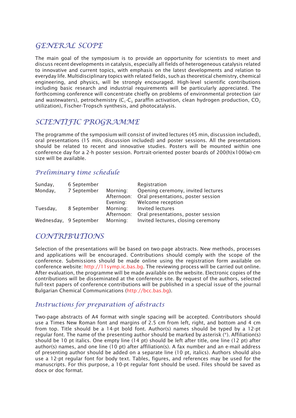# *GENERAL SCOPE*

The main goal of the symposium is to provide an opportunity for scientists to meet and discuss recent developments in catalysis, especially all fields of heterogeneous catalysis related to innovative and current topics, with emphasis on the latest developments and relation to everyday life. Multidisciplinary topics with related fields, such as theoretical chemistry, chemical engineering, and physics, will be strongly encouraged. High-level scientific contributions including basic research and industrial requirements will be particularly appreciated. The forthcoming conference will concentrate chiefly on problems of environmental protection (air and wastewaters), petrochemistry  $(C_1-C_3$  paraffin activation, clean hydrogen production,  $CO_2$ utilization), Fischer-Tropsch synthesis, and photocatalysis.

## *SCIENTIFIC PROGRAMME*

The programme of the symposium will consist of invited lectures (45 min, discussion included), oral presentations (15 min, discussion included) and poster sessions. All the presentations should be related to recent and innovative studies. Posters will be mounted within one conference day for a 2-h poster session. Portrait-oriented poster boards of 200(h)x100(w)-cm size will be available.

#### *Preliminary time schedule*

| Sunday,  | 6 September            |                                                | Registration                       |
|----------|------------------------|------------------------------------------------|------------------------------------|
| Monday,  | 7 September            | Opening ceremony, invited lectures<br>Morning: |                                    |
|          |                        | Afternoon:                                     | Oral presentations, poster session |
|          |                        | Evening:                                       | Welcome reception                  |
| Tuesday, | 8 September            | Morning:                                       | Invited lectures                   |
|          |                        | Afternoon:                                     | Oral presentations, poster session |
|          | Wednesday, 9 September | Morning:                                       | Invited lectures, closing ceremony |

## *CONTRIBUTIONS*

Selection of the presentations will be based on two-page abstracts. New methods, processes and applications will be encouraged. Contributions should comply with the scope of the conference. Submissions should be made online using the registration form available on conference website: http://11symp.ic.bas.bg. The reviewing process will be carried out online. After evaluation, the programme will be made available on the website. Electronic copies of the contributions will be disseminated at the conference site. By request of the authors, selected full-text papers of conference contributions will be published in a special issue of the journal Bulgarian Chemical Communications (http://bcc.bas.bg).

#### *Instructions for preparation of abstracts*

Two-page abstracts of A4 format with single spacing will be accepted. Contributors should use a Times New Roman font and margins of 2.5 cm from left, right, and bottom and 4 cm from top. Title should be a 14-pt bold font. Author(s) names should be typed by a 12-pt regular font. The name of the presenting author should be marked by asterisk (\*). Affiliation(s) should be 10 pt italics. One empty line (14 pt) should be left after title, one line (12 pt) after author(s) names, and one line (10 pt) after affiliation(s). A fax number and an e-mail address of presenting author should be added on a separate line (10 pt, italics). Authors should also use a 12-pt regular font for body text. Tables, figures, and references may be used for the manuscripts. For this purpose, a 10-pt regular font should be used. Files should be saved as docx or doc format.